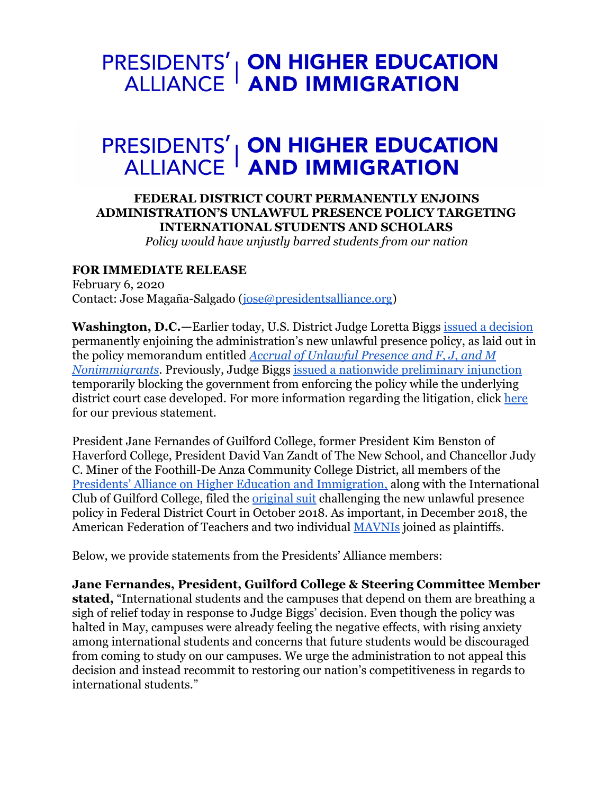## **PRESIDENTS' | ON HIGHER EDUCATION<br>ALLIANCE | AND IMMIGRATION**

## **PRESIDENTS' | ON HIGHER EDUCATION<br>ALLIANCE | AND IMMIGRATION**

## **FEDERAL DISTRICT COURT PERMANENTLY ENJOINS ADMINISTRATION'S UNLAWFUL PRESENCE POLICY TARGETING INTERNATIONAL STUDENTS AND SCHOLARS**  *Policy would have unjustly barred students from our nation*

## **FOR IMMEDIATE RELEASE**

February 6, 2020 Contact: Jose Magaña-Salgado (jose@presidentsalliance.org)

**Washington, D.C.—** Earlier today, U.S. District Judge Loretta Biggs [issued a decision](https://www.presidentsimmigrationalliance.org/unlawful-presence-litigation/)  permanently enjoining the administration's new unlawful presence policy, as laid out in the policy memorandum entitled *[Accrual of Unlawful Presence and F, J, and M](https://www.uscis.gov/sites/default/files/USCIS/Laws/Memoranda/2018/2018-08-09-PM-602-1060.1-Accrual-of-Unlawful-Presence-and-F-J-and-M-Nonimmigrants.pdf)  [Nonimmigrants](https://www.uscis.gov/sites/default/files/USCIS/Laws/Memoranda/2018/2018-08-09-PM-602-1060.1-Accrual-of-Unlawful-Presence-and-F-J-and-M-Nonimmigrants.pdf)* . Previously, Judge Biggs [issued a nationwide preliminary injunction](https://www.presidentsimmigrationalliance.org/wp-content/uploads/2019/05/Guilford-College-decision-5.3.2019.pdf) temporarily blocking the government from enforcing the policy while the underlying district court case developed. For more information regarding the litigation, click [here](https://www.presidentsimmigrationalliance.org/unlawful-presence-litigation/) for our previous statement.

President Jane Fernandes of Guilford College, former President Kim Benston of Haverford College, President David Van Zandt of The New School, and Chancellor Judy C. Miner of the Foothill-De Anza Community College District, all members of the [Presidents' Alliance on Higher Education and Immigration,](http://www.presidentsalliance.org/) along with the International Club of Guilford College, filed the [original suit](https://www.pacermonitor.com/view/I72H2GA/GUILFORD_COLLEGE_et_al_v_NIELSEN_et_al__ncmdce-18-00891__0001.0.pdf) challenging the new unlawful presence policy in Federal District Court in October 2018. As important, in December 2018, the American Federation of Teachers and two individual [MAVNIs](https://studyinthestates.dhs.gov/what-is-mavni-information-for-designated-school-officials) joined as plaintiffs.

Below, we provide statements from the Presidents' Alliance members:

**Jane Fernandes, President, Guilford College & Steering Committee Member stated,** "International students and the campuses that depend on them are breathing a sigh of relief today in response to Judge Biggs' decision. Even though the policy was halted in May, campuses were already feeling the negative effects, with rising anxiety among international students and concerns that future students would be discouraged from coming to study on our campuses. We urge the administration to not appeal this decision and instead recommit to restoring our nation's competitiveness in regards to international students."